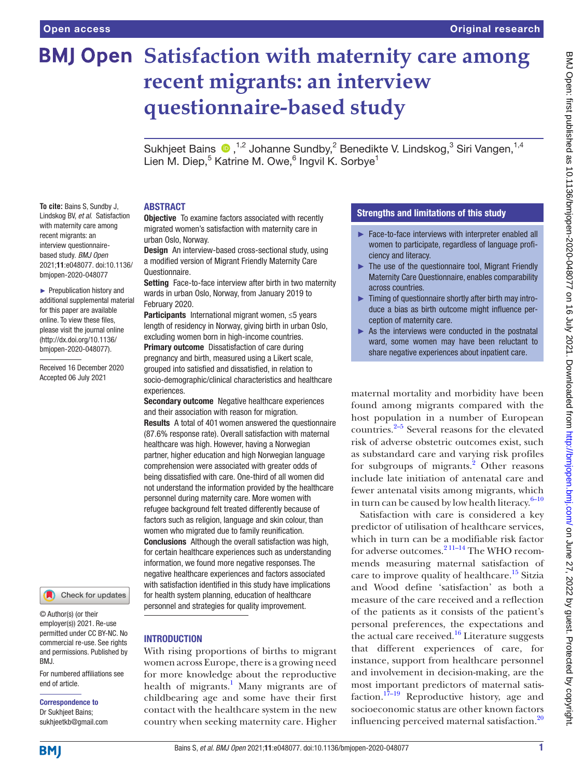**To cite:** Bains S, Sundby J, Lindskog BV, *et al*. Satisfaction with maternity care among recent migrants: an interview questionnairebased study. *BMJ Open* 2021;11:e048077. doi:10.1136/ bmjopen-2020-048077 ► Prepublication history and additional supplemental material for this paper are available online. To view these files, please visit the journal online (http://dx.doi.org/10.1136/ bmjopen-2020-048077). Received 16 December 2020 Accepted 06 July 2021

# **BMJ Open Satisfaction with maternity care among recent migrants: an interview questionnaire-based study**

SukhjeetBains  $\bullet$ ,<sup>1,2</sup> Johanne Sundby,<sup>2</sup> Benedikte V. Lindskog,<sup>3</sup> Siri Vangen,<sup>1,4</sup> Lien M. Diep,<sup>5</sup> Katrine M. Owe,<sup>6</sup> Ingvil K. Sorbye<sup>1</sup>

# ABSTRACT

**Objective** To examine factors associated with recently migrated women's satisfaction with maternity care in urban Oslo, Norway.

**Design** An interview-based cross-sectional study, using a modified version of Migrant Friendly Maternity Care Questionnaire.

Setting Face-to-face interview after birth in two maternity wards in urban Oslo, Norway, from January 2019 to February 2020.

Participants International migrant women, ≤5 years length of residency in Norway, giving birth in urban Oslo, excluding women born in high-income countries. **Primary outcome** Dissatisfaction of care during pregnancy and birth, measured using a Likert scale, grouped into satisfied and dissatisfied, in relation to socio-demographic/clinical characteristics and healthcare experiences.

Secondary outcome Negative healthcare experiences and their association with reason for migration. **Results** A total of 401 women answered the questionnaire (87.6% response rate). Overall satisfaction with maternal healthcare was high. However, having a Norwegian partner, higher education and high Norwegian language comprehension were associated with greater odds of being dissatisfied with care. One-third of all women did not understand the information provided by the healthcare personnel during maternity care. More women with refugee background felt treated differently because of factors such as religion, language and skin colour, than women who migrated due to family reunification. Conclusions Although the overall satisfaction was high, for certain healthcare experiences such as understanding information, we found more negative responses. The negative healthcare experiences and factors associated with satisfaction identified in this study have implications for health system planning, education of healthcare personnel and strategies for quality improvement.

# Check for updates

© Author(s) (or their employer(s)) 2021. Re-use permitted under CC BY-NC. No commercial re-use. See rights and permissions. Published by BMJ.

For numbered affiliations see end of article.

Correspondence to Dr Sukhjeet Bains;

sukhjeetkb@gmail.com

# **INTRODUCTION**

With rising proportions of births to migrant women across Europe, there is a growing need for more knowledge about the reproductive health of migrants.<sup>[1](#page-7-0)</sup> Many migrants are of childbearing age and some have their first contact with the healthcare system in the new country when seeking maternity care. Higher

# Strengths and limitations of this study

- ► Face-to-face interviews with interpreter enabled all women to participate, regardless of language proficiency and literacy.
- ► The use of the questionnaire tool, Migrant Friendly Maternity Care Questionnaire, enables comparability across countries.
- ► Timing of questionnaire shortly after birth may introduce a bias as birth outcome might influence perception of maternity care.
- $\triangleright$  As the interviews were conducted in the postnatal ward, some women may have been reluctant to share negative experiences about inpatient care.

maternal mortality and morbidity have been found among migrants compared with the host population in a number of European countries. $2-5$  Several reasons for the elevated risk of adverse obstetric outcomes exist, such as substandard care and varying risk profiles for subgroups of migrants.<sup>[2](#page-7-1)</sup> Other reasons include late initiation of antenatal care and fewer antenatal visits among migrants, which in turn can be caused by low health literacy. $6-10$ 

Satisfaction with care is considered a key predictor of utilisation of healthcare services, which in turn can be a modifiable risk factor for adverse outcomes.<sup>2 11–14</sup> The WHO recommends measuring maternal satisfaction of care to improve quality of healthcare.<sup>15</sup> Sitzia and Wood define 'satisfaction' as both a measure of the care received and a reflection of the patients as it consists of the patient's personal preferences, the expectations and the actual care received.<sup>[16](#page-7-4)</sup> Literature suggests that different experiences of care, for instance, support from healthcare personnel and involvement in decision-making, are the most important predictors of maternal satisfaction.<sup>17–19</sup> Reproductive history, age and socioeconomic status are other known factors influencing perceived maternal satisfaction.<sup>[20](#page-7-6)</sup>

**BMI**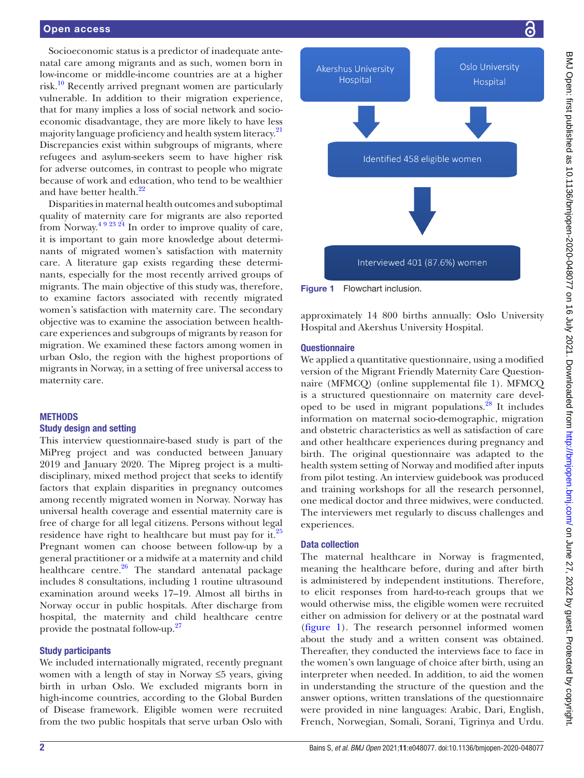#### Open access

Socioeconomic status is a predictor of inadequate antenatal care among migrants and as such, women born in low-income or middle-income countries are at a higher risk.<sup>10</sup> Recently arrived pregnant women are particularly vulnerable. In addition to their migration experience, that for many implies a loss of social network and socioeconomic disadvantage, they are more likely to have less majority language proficiency and health system literacy.<sup>21</sup> Discrepancies exist within subgroups of migrants, where refugees and asylum-seekers seem to have higher risk for adverse outcomes, in contrast to people who migrate because of work and education, who tend to be wealthier and have better health.<sup>[22](#page-7-9)</sup>

Disparities in maternal health outcomes and suboptimal quality of maternity care for migrants are also reported from Norway.<sup>[4 9 23 24](#page-7-10)</sup> In order to improve quality of care, it is important to gain more knowledge about determinants of migrated women's satisfaction with maternity care. A literature gap exists regarding these determinants, especially for the most recently arrived groups of migrants. The main objective of this study was, therefore, to examine factors associated with recently migrated women's satisfaction with maternity care. The secondary objective was to examine the association between healthcare experiences and subgroups of migrants by reason for migration. We examined these factors among women in urban Oslo, the region with the highest proportions of migrants in Norway, in a setting of free universal access to maternity care.

#### **METHODS**

#### Study design and setting

This interview questionnaire-based study is part of the MiPreg project and was conducted between January 2019 and January 2020. The Mipreg project is a multidisciplinary, mixed method project that seeks to identify factors that explain disparities in pregnancy outcomes among recently migrated women in Norway. Norway has universal health coverage and essential maternity care is free of charge for all legal citizens. Persons without legal residence have right to healthcare but must pay for it.<sup>[25](#page-7-11)</sup> Pregnant women can choose between follow-up by a general practitioner or a midwife at a maternity and child healthcare centre.<sup>26</sup> The standard antenatal package includes 8 consultations, including 1 routine ultrasound examination around weeks 17–19. Almost all births in Norway occur in public hospitals. After discharge from hospital, the maternity and child healthcare centre provide the postnatal follow-up[.27](#page-7-13)

#### Study participants

We included internationally migrated, recently pregnant women with a length of stay in Norway ≤5 years, giving birth in urban Oslo. We excluded migrants born in high-income countries, according to the Global Burden of Disease framework. Eligible women were recruited from the two public hospitals that serve urban Oslo with



<span id="page-1-0"></span>Figure 1 Flowchart inclusion.

approximately 14 800 births annually: Oslo University Hospital and Akershus University Hospital.

#### **Questionnaire**

We applied a quantitative questionnaire, using a modified version of the Migrant Friendly Maternity Care Questionnaire (MFMCQ) [\(online supplemental file 1](https://dx.doi.org/10.1136/bmjopen-2020-048077)). MFMCQ is a structured questionnaire on maternity care developed to be used in migrant populations.<sup>28</sup> It includes information on maternal socio-demographic, migration and obstetric characteristics as well as satisfaction of care and other healthcare experiences during pregnancy and birth. The original questionnaire was adapted to the health system setting of Norway and modified after inputs from pilot testing. An interview guidebook was produced and training workshops for all the research personnel, one medical doctor and three midwives, were conducted. The interviewers met regularly to discuss challenges and experiences.

#### Data collection

The maternal healthcare in Norway is fragmented, meaning the healthcare before, during and after birth is administered by independent institutions. Therefore, to elicit responses from hard-to-reach groups that we would otherwise miss, the eligible women were recruited either on admission for delivery or at the postnatal ward [\(figure](#page-1-0) 1). The research personnel informed women about the study and a written consent was obtained. Thereafter, they conducted the interviews face to face in the women's own language of choice after birth, using an interpreter when needed. In addition, to aid the women in understanding the structure of the question and the answer options, written translations of the questionnaire were provided in nine languages: Arabic, Dari, English, French, Norwegian, Somali, Sorani, Tigrinya and Urdu.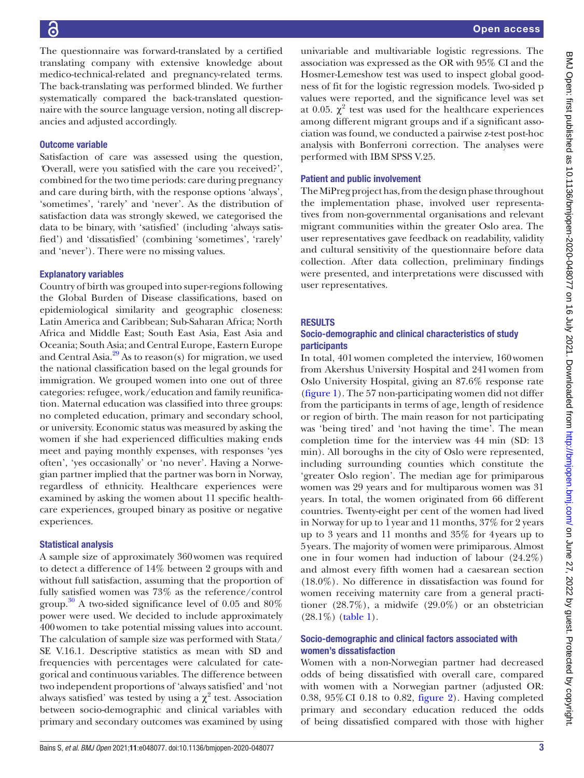16

The questionnaire was forward-translated by a certified translating company with extensive knowledge about medico-technical-related and pregnancy-related terms. The back-translating was performed blinded. We further systematically compared the back-translated questionnaire with the source language version, noting all discrepancies and adjusted accordingly.

# Outcome variable

Satisfaction of care was assessed using the question, *'*Overall, were you satisfied with the care you received?', combined for the two time periods: care during pregnancy and care during birth, with the response options 'always', 'sometimes', 'rarely' and 'never'. As the distribution of satisfaction data was strongly skewed, we categorised the data to be binary, with 'satisfied' (including 'always satisfied') and 'dissatisfied' (combining 'sometimes', 'rarely' and 'never'). There were no missing values.

# Explanatory variables

Country of birth was grouped into super-regions following the Global Burden of Disease classifications, based on epidemiological similarity and geographic closeness: Latin America and Caribbean; Sub-Saharan Africa; North Africa and Middle East; South East Asia, East Asia and Oceania; South Asia; and Central Europe, Eastern Europe and Central Asia. $^{29}$  As to reason(s) for migration, we used the national classification based on the legal grounds for immigration. We grouped women into one out of three categories: refugee, work/education and family reunification. Maternal education was classified into three groups: no completed education, primary and secondary school, or university. Economic status was measured by asking the women if she had experienced difficulties making ends meet and paying monthly expenses, with responses 'yes often', 'yes occasionally' or 'no never'. Having a Norwegian partner implied that the partner was born in Norway, regardless of ethnicity. Healthcare experiences were examined by asking the women about 11 specific healthcare experiences, grouped binary as positive or negative experiences.

# Statistical analysis

A sample size of approximately 360women was required to detect a difference of 14% between 2 groups with and without full satisfaction, assuming that the proportion of fully satisfied women was 73% as the reference/control group.<sup>[30](#page-8-2)</sup> A two-sided significance level of 0.05 and 80% power were used. We decided to include approximately 400women to take potential missing values into account. The calculation of sample size was performed with Stata/ SE V.16.1. Descriptive statistics as mean with SD and frequencies with percentages were calculated for categorical and continuous variables. The difference between two independent proportions of 'always satisfied' and 'not always satisfied' was tested by using a  $\chi^2$  test. Association between socio-demographic and clinical variables with primary and secondary outcomes was examined by using

univariable and multivariable logistic regressions. The association was expressed as the OR with 95% CI and the Hosmer-Lemeshow test was used to inspect global goodness of fit for the logistic regression models. Two-sided p values were reported, and the significance level was set at 0.05.  $\chi^2$  test was used for the healthcare experiences among different migrant groups and if a significant association was found, we conducted a pairwise z-test post-hoc analysis with Bonferroni correction. The analyses were performed with IBM SPSS V.25.

# Patient and public involvement

The MiPreg project has, from the design phase throughout the implementation phase, involved user representatives from non-governmental organisations and relevant migrant communities within the greater Oslo area. The user representatives gave feedback on readability, validity and cultural sensitivity of the questionnaire before data collection. After data collection, preliminary findings were presented, and interpretations were discussed with user representatives.

# RESULTS

# Socio-demographic and clinical characteristics of study participants

In total, 401women completed the interview, 160women from Akershus University Hospital and 241women from Oslo University Hospital, giving an 87.6% response rate [\(figure](#page-1-0) 1). The 57 non-participating women did not differ from the participants in terms of age, length of residence or region of birth. The main reason for not participating was 'being tired' and 'not having the time'. The mean completion time for the interview was 44 min (SD: 13 min). All boroughs in the city of Oslo were represented, including surrounding counties which constitute the 'greater Oslo region'. The median age for primiparous women was 29 years and for multiparous women was 31 years. In total, the women originated from 66 different countries. Twenty-eight per cent of the women had lived in Norway for up to 1year and 11 months, 37% for 2 years up to 3 years and 11 months and 35% for 4years up to 5years. The majority of women were primiparous. Almost one in four women had induction of labour (24.2%) and almost every fifth women had a caesarean section (18.0%). No difference in dissatisfaction was found for women receiving maternity care from a general practitioner (28.7%), a midwife (29.0%) or an obstetrician (28.1%) ([table](#page-3-0) 1).

# Socio-demographic and clinical factors associated with women's dissatisfaction

Women with a non-Norwegian partner had decreased odds of being dissatisfied with overall care, compared with women with a Norwegian partner (adjusted OR: 0.38, 95%CI 0.18 to 0.82, [figure](#page-4-0) 2). Having completed primary and secondary education reduced the odds of being dissatisfied compared with those with higher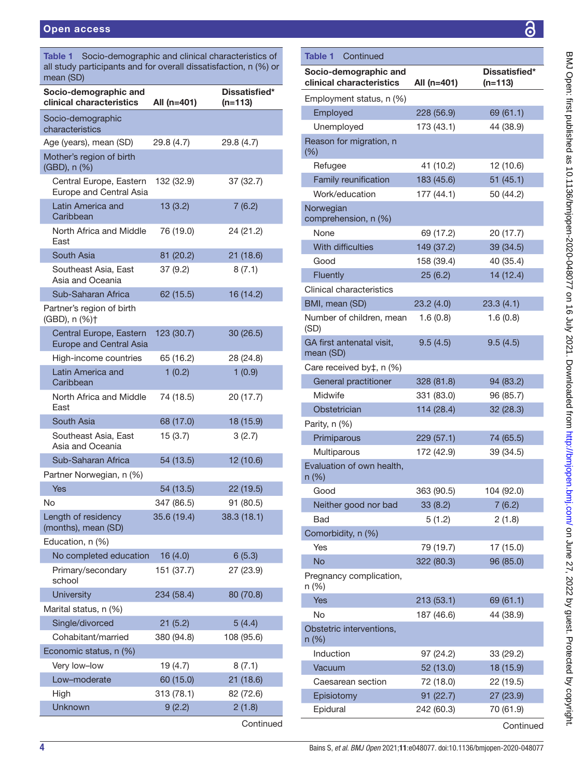<span id="page-3-0"></span>

| Table 1 Socio-demographic and clinical characteristics of<br>all study participants and for overall dissatisfaction, n (%) or<br>mean (SD) |             |                            |  |  |  |  |
|--------------------------------------------------------------------------------------------------------------------------------------------|-------------|----------------------------|--|--|--|--|
| Socio-demographic and<br>clinical characteristics                                                                                          | All (n=401) | Dissatisfied*<br>$(n=113)$ |  |  |  |  |
| Socio-demographic<br>characteristics                                                                                                       |             |                            |  |  |  |  |
| Age (years), mean (SD)                                                                                                                     | 29.8 (4.7)  | 29.8 (4.7)                 |  |  |  |  |
| Mother's region of birth<br>(GBD), n (%)                                                                                                   |             |                            |  |  |  |  |
| Central Europe, Eastern<br>Europe and Central Asia                                                                                         | 132 (32.9)  | 37 (32.7)                  |  |  |  |  |
| Latin America and<br>Caribbean                                                                                                             | 13(3.2)     | 7(6.2)                     |  |  |  |  |
| North Africa and Middle<br>East                                                                                                            | 76 (19.0)   | 24 (21.2)                  |  |  |  |  |
| South Asia                                                                                                                                 | 81 (20.2)   | 21(18.6)                   |  |  |  |  |
| Southeast Asia, East<br>Asia and Oceania                                                                                                   | 37 (9.2)    | 8(7.1)                     |  |  |  |  |
| Sub-Saharan Africa                                                                                                                         | 62 (15.5)   | 16 (14.2)                  |  |  |  |  |
| Partner's region of birth<br>(GBD), n (%)+                                                                                                 |             |                            |  |  |  |  |
| Central Europe, Eastern<br><b>Europe and Central Asia</b>                                                                                  | 123 (30.7)  | 30 (26.5)                  |  |  |  |  |
| High-income countries                                                                                                                      | 65 (16.2)   | 28 (24.8)                  |  |  |  |  |
| Latin America and<br>Caribbean                                                                                                             | 1(0.2)      | 1(0.9)                     |  |  |  |  |
| North Africa and Middle<br>East                                                                                                            | 74 (18.5)   | 20 (17.7)                  |  |  |  |  |
| South Asia                                                                                                                                 | 68 (17.0)   | 18 (15.9)                  |  |  |  |  |
| Southeast Asia, East<br>Asia and Oceania                                                                                                   | 15(3.7)     | 3(2.7)                     |  |  |  |  |
| Sub-Saharan Africa                                                                                                                         | 54 (13.5)   | 12 (10.6)                  |  |  |  |  |
| Partner Norwegian, n (%)                                                                                                                   |             |                            |  |  |  |  |
| Yes                                                                                                                                        | 54 (13.5)   | 22 (19.5)                  |  |  |  |  |
| No                                                                                                                                         | 347 (86.5)  | 91 (80.5)                  |  |  |  |  |
| Length of residency<br>(months), mean (SD)                                                                                                 | 35.6 (19.4) | 38.3 (18.1)                |  |  |  |  |
| Education, n (%)                                                                                                                           |             |                            |  |  |  |  |
| No completed education                                                                                                                     | 16(4.0)     | 6(5.3)                     |  |  |  |  |
| Primary/secondary<br>school                                                                                                                | 151 (37.7)  | 27 (23.9)                  |  |  |  |  |
| <b>University</b>                                                                                                                          | 234 (58.4)  | 80 (70.8)                  |  |  |  |  |
| Marital status, n (%)                                                                                                                      |             |                            |  |  |  |  |
| Single/divorced                                                                                                                            | 21(5.2)     | 5(4.4)                     |  |  |  |  |
| Cohabitant/married                                                                                                                         | 380 (94.8)  | 108 (95.6)                 |  |  |  |  |
| Economic status, n (%)                                                                                                                     |             |                            |  |  |  |  |
| Very low-low                                                                                                                               | 19 (4.7)    | 8(7.1)                     |  |  |  |  |
| Low-moderate                                                                                                                               | 60 (15.0)   | 21(18.6)                   |  |  |  |  |
| High                                                                                                                                       | 313 (78.1)  | 82 (72.6)                  |  |  |  |  |
| Unknown                                                                                                                                    | 9(2.2)      | 2(1.8)                     |  |  |  |  |

| Employed                               | 228 (56.9) | 69 (61.1)  |
|----------------------------------------|------------|------------|
| Unemployed                             | 173 (43.1) | 44 (38.9)  |
| Reason for migration, n<br>$(\% )$     |            |            |
| Refugee                                | 41 (10.2)  | 12 (10.6)  |
| Family reunification                   | 183 (45.6) | 51(45.1)   |
| Work/education                         | 177 (44.1) | 50 (44.2)  |
| Norwegian<br>comprehension, n (%)      |            |            |
| None                                   | 69 (17.2)  | 20 (17.7)  |
| With difficulties                      | 149 (37.2) | 39 (34.5)  |
| Good                                   | 158 (39.4) | 40 (35.4)  |
| Fluently                               | 25(6.2)    | 14 (12.4)  |
| Clinical characteristics               |            |            |
| BMI, mean (SD)                         | 23.2(4.0)  | 23.3(4.1)  |
| Number of children, mean<br>(SD)       | 1.6(0.8)   | 1.6(0.8)   |
| GA first antenatal visit,<br>mean (SD) | 9.5(4.5)   | 9.5(4.5)   |
| Care received by‡, n (%)               |            |            |
| General practitioner                   | 328 (81.8) | 94 (83.2)  |
| Midwife                                | 331 (83.0) | 96 (85.7)  |
| Obstetrician                           | 114 (28.4) | 32 (28.3)  |
| Parity, n (%)                          |            |            |
| Primiparous                            | 229 (57.1) | 74 (65.5)  |
| Multiparous                            | 172 (42.9) | 39 (34.5)  |
| Evaluation of own health,<br>n (%)     |            |            |
| Good                                   | 363 (90.5) | 104 (92.0) |
| Neither good nor bad                   | 33(8.2)    | 7(6.2)     |
| Bad                                    | 5(1.2)     | 2(1.8)     |
| Comorbidity, n (%)                     |            |            |
| <b>Yes</b>                             | 79 (19.7)  | 17 (15.0)  |
| <b>No</b>                              | 322 (80.3) | 96 (85.0)  |
| Pregnancy complication,<br>n (%)       |            |            |
| <b>Yes</b>                             | 213 (53.1) | 69 (61.1)  |
| <b>No</b>                              | 187 (46.6) | 44 (38.9)  |
| Obstetric interventions,<br>n (%)      |            |            |
| Induction                              | 97 (24.2)  | 33 (29.2)  |
| Vacuum                                 | 52 (13.0)  | 18 (15.9)  |
| Caesarean section                      | 72 (18.0)  | 22 (19.5)  |
| Episiotomy                             | 91(22.7)   | 27 (23.9)  |
| Epidural                               | 242 (60.3) | 70 (61.9)  |
|                                        |            | Continued  |
|                                        |            |            |

Socio-demographic and

Table 1 Continued

Employment status, n (%)

clinical characteristics All (n=401)

Dissatisfied\* (n=113)

**Continued**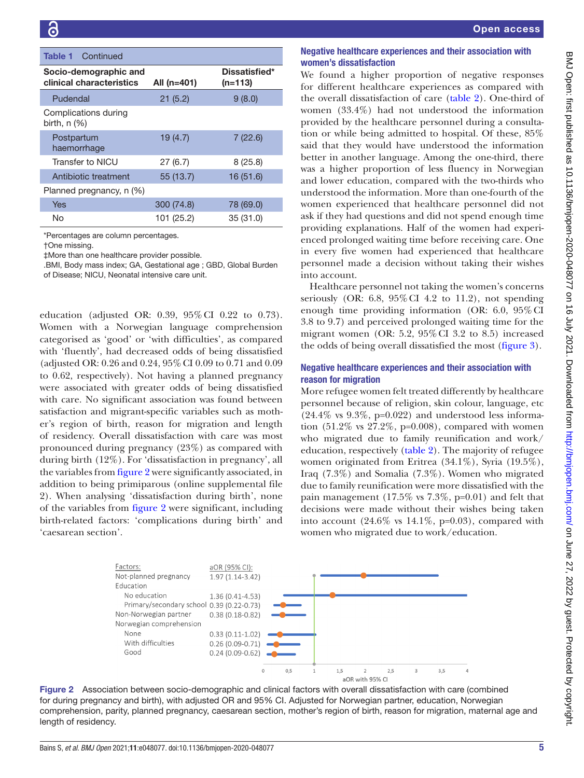| <b>Table 1</b> Continued                          |             |                            |
|---------------------------------------------------|-------------|----------------------------|
| Socio-demographic and<br>clinical characteristics | All (n=401) | Dissatisfied*<br>$(n=113)$ |
| Pudendal                                          | 21(5.2)     | 9(8.0)                     |
| Complications during<br>birth, $n$ $(\%)$         |             |                            |
| Postpartum<br>haemorrhage                         | 19(4.7)     | 7(22.6)                    |
| Transfer to NICU                                  | 27(6.7)     | 8(25.8)                    |
| Antibiotic treatment                              | 55(13.7)    | 16 (51.6)                  |
| Planned pregnancy, n (%)                          |             |                            |
| Yes                                               | 300 (74.8)  | 78 (69.0)                  |
| No                                                | 101 (25.2)  | 35 (31.0)                  |

\*Percentages are column percentages.

†One missing.

‡More than one healthcare provider possible.

.BMI, Body mass index; GA, Gestational age ; GBD, Global Burden of Disease; NICU, Neonatal intensive care unit.

education (adjusted OR: 0.39, 95%CI 0.22 to 0.73). Women with a Norwegian language comprehension categorised as 'good' or 'with difficulties', as compared with 'fluently', had decreased odds of being dissatisfied (adjusted OR: 0.26 and 0.24, 95%CI 0.09 to 0.71 and 0.09 to 0.62, respectively). Not having a planned pregnancy were associated with greater odds of being dissatisfied with care. No significant association was found between satisfaction and migrant-specific variables such as mother's region of birth, reason for migration and length of residency. Overall dissatisfaction with care was most pronounced during pregnancy (23%) as compared with during birth (12%). For 'dissatisfaction in pregnancy', all the variables from [figure](#page-4-0) 2 were significantly associated, in addition to being primiparous [\(online supplemental file](https://dx.doi.org/10.1136/bmjopen-2020-048077) [2\)](https://dx.doi.org/10.1136/bmjopen-2020-048077). When analysing 'dissatisfaction during birth', none of the variables from [figure](#page-4-0) 2 were significant, including birth-related factors: 'complications during birth' and 'caesarean section'.

# Negative healthcare experiences and their association with women's dissatisfaction

We found a higher proportion of negative responses for different healthcare experiences as compared with the overall dissatisfaction of care ([table](#page-5-0) 2). One-third of women (33.4%) had not understood the information provided by the healthcare personnel during a consultation or while being admitted to hospital. Of these, 85% said that they would have understood the information better in another language. Among the one-third, there was a higher proportion of less fluency in Norwegian and lower education, compared with the two-thirds who understood the information. More than one-fourth of the women experienced that healthcare personnel did not ask if they had questions and did not spend enough time providing explanations. Half of the women had experienced prolonged waiting time before receiving care. One in every five women had experienced that healthcare personnel made a decision without taking their wishes into account.

Healthcare personnel not taking the women's concerns seriously (OR: 6.8,  $95\%$  CI 4.2 to 11.2), not spending enough time providing information (OR: 6.0, 95%CI 3.8 to 9.7) and perceived prolonged waiting time for the migrant women (OR:  $5.2$ ,  $95\%$  CI 3.2 to 8.5) increased the odds of being overall dissatisfied the most ([figure](#page-5-1) 3).

# Negative healthcare experiences and their association with reason for migration

More refugee women felt treated differently by healthcare personnel because of religion, skin colour, language, etc  $(24.4\% \text{ vs } 9.3\%, \text{ p=0.022})$  and understood less information  $(51.2\% \text{ vs } 27.2\%, \text{ p=0.008})$ , compared with women who migrated due to family reunification and work/ education, respectively ([table](#page-5-0) 2). The majority of refugee women originated from Eritrea (34.1%), Syria (19.5%), Iraq (7.3%) and Somalia (7.3%). Women who migrated due to family reunification were more dissatisfied with the pain management  $(17.5\% \text{ vs } 7.3\%, \text{ p=0.01})$  and felt that decisions were made without their wishes being taken into account  $(24.6\% \text{ vs } 14.1\%, \text{ p} = 0.03)$ , compared with women who migrated due to work/education.

<span id="page-4-0"></span>

Figure 2 Association between socio-demographic and clinical factors with overall dissatisfaction with care (combined for during pregnancy and birth), with adjusted OR and 95% CI. Adjusted for Norwegian partner, education, Norwegian comprehension, parity, planned pregnancy, caesarean section, mother's region of birth, reason for migration, maternal age and length of residency.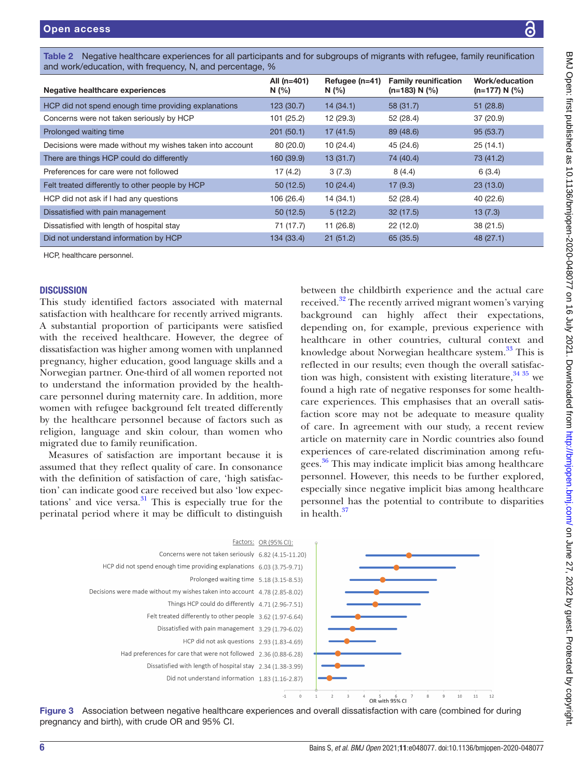<span id="page-5-0"></span>

| Negative healthcare experiences                          | All (n=401)<br>N(%) | Refugee (n=41)<br>N(% | <b>Family reunification</b><br>$(n=183) N$ (%) | Work/education<br>$(n=177) N$ (%) |
|----------------------------------------------------------|---------------------|-----------------------|------------------------------------------------|-----------------------------------|
| HCP did not spend enough time providing explanations     | 123 (30.7)          | 14(34.1)              | 58(31.7)                                       | 51(28.8)                          |
| Concerns were not taken seriously by HCP                 | 101 (25.2)          | 12 (29.3)             | 52 (28.4)                                      | 37(20.9)                          |
| Prolonged waiting time                                   | 201(50.1)           | 17(41.5)              | 89 (48.6)                                      | 95(53.7)                          |
| Decisions were made without my wishes taken into account | 80 (20.0)           | 10(24.4)              | 45 (24.6)                                      | 25(14.1)                          |
| There are things HCP could do differently                | 160 (39.9)          | 13(31.7)              | 74 (40.4)                                      | 73 (41.2)                         |
| Preferences for care were not followed                   | 17 (4.2)            | 3(7.3)                | 8(4.4)                                         | 6(3.4)                            |
| Felt treated differently to other people by HCP          | 50(12.5)            | 10(24.4)              | 17(9.3)                                        | 23(13.0)                          |
| HCP did not ask if I had any questions                   | 106 (26.4)          | 14(34.1)              | 52(28.4)                                       | 40 (22.6)                         |
| Dissatisfied with pain management                        | 50(12.5)            | 5(12.2)               | 32(17.5)                                       | 13(7.3)                           |
| Dissatisfied with length of hospital stay                | 71 (17.7)           | 11(26.8)              | 22(12.0)                                       | 38(21.5)                          |
| Did not understand information by HCP                    | 134 (33.4)          | 21(51.2)              | 65(35.5)                                       | 48(27.1)                          |

HCP, healthcare personnel.

#### **DISCUSSION**

This study identified factors associated with maternal satisfaction with healthcare for recently arrived migrants. A substantial proportion of participants were satisfied with the received healthcare. However, the degree of dissatisfaction was higher among women with unplanned pregnancy, higher education, good language skills and a Norwegian partner. One-third of all women reported not to understand the information provided by the healthcare personnel during maternity care. In addition, more women with refugee background felt treated differently by the healthcare personnel because of factors such as religion, language and skin colour, than women who migrated due to family reunification.

Measures of satisfaction are important because it is assumed that they reflect quality of care. In consonance with the definition of satisfaction of care, 'high satisfaction' can indicate good care received but also 'low expectations' and vice versa. $31$  This is especially true for the perinatal period where it may be difficult to distinguish

between the childbirth experience and the actual care received.<sup>32</sup> The recently arrived migrant women's varying background can highly affect their expectations, depending on, for example, previous experience with healthcare in other countries, cultural context and knowledge about Norwegian healthcare system.<sup>33</sup> This is reflected in our results; even though the overall satisfaction was high, consistent with existing literature,  $34\frac{35}{10}$  we found a high rate of negative responses for some healthcare experiences. This emphasises that an overall satisfaction score may not be adequate to measure quality of care. In agreement with our study, a recent review article on maternity care in Nordic countries also found experiences of care-related discrimination among refu-gees.<sup>[36](#page-8-7)</sup> This may indicate implicit bias among healthcare personnel. However, this needs to be further explored, especially since negative implicit bias among healthcare personnel has the potential to contribute to disparities in health.<sup>[37](#page-8-8)</sup>



<span id="page-5-1"></span>Figure 3 Association between negative healthcare experiences and overall dissatisfaction with care (combined for during pregnancy and birth), with crude OR and 95% CI.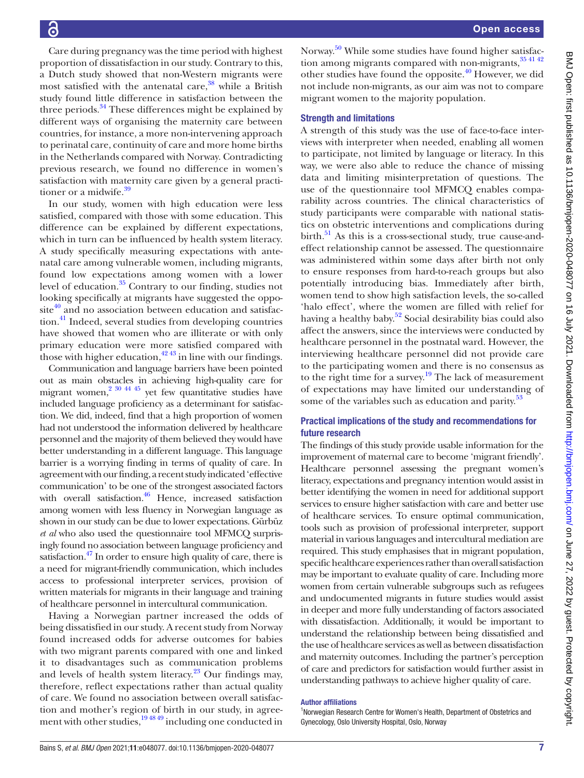Care during pregnancy was the time period with highest proportion of dissatisfaction in our study. Contrary to this, a Dutch study showed that non-Western migrants were most satisfied with the antenatal care, $38$  while a British study found little difference in satisfaction between the three periods.<sup>[34](#page-8-6)</sup> These differences might be explained by different ways of organising the maternity care between countries, for instance, a more non-intervening approach to perinatal care, continuity of care and more home births in the Netherlands compared with Norway. Contradicting previous research, we found no difference in women's satisfaction with maternity care given by a general practitioner or a midwife.<sup>39</sup>

In our study, women with high education were less satisfied, compared with those with some education. This difference can be explained by different expectations, which in turn can be influenced by health system literacy. A study specifically measuring expectations with antenatal care among vulnerable women, including migrants, found low expectations among women with a lower level of education.<sup>35</sup> Contrary to our finding, studies not looking specifically at migrants have suggested the oppo $site<sup>40</sup>$  and no association between education and satisfaction.[41](#page-8-13) Indeed, several studies from developing countries have showed that women who are illiterate or with only primary education were more satisfied compared with those with higher education,  $42\frac{43}{12}$  in line with our findings.

Communication and language barriers have been pointed out as main obstacles in achieving high-quality care for migrant women, $2^{30}$  44 45 yet few quantitative studies have included language proficiency as a determinant for satisfaction. We did, indeed, find that a high proportion of women had not understood the information delivered by healthcare personnel and the majority of them believed they would have better understanding in a different language. This language barrier is a worrying finding in terms of quality of care. In agreement with our finding, a recent study indicated 'effective communication' to be one of the strongest associated factors with overall satisfaction.<sup>[46](#page-8-15)</sup> Hence, increased satisfaction among women with less fluency in Norwegian language as shown in our study can be due to lower expectations. Gürbüz *et al* who also used the questionnaire tool MFMCQ surprisingly found no association between language proficiency and satisfaction.<sup>47</sup> In order to ensure high quality of care, there is a need for migrant-friendly communication, which includes access to professional interpreter services, provision of written materials for migrants in their language and training of healthcare personnel in intercultural communication.

Having a Norwegian partner increased the odds of being dissatisfied in our study. A recent study from Norway found increased odds for adverse outcomes for babies with two migrant parents compared with one and linked it to disadvantages such as communication problems and levels of health system literacy.<sup>[23](#page-7-14)</sup> Our findings may, therefore, reflect expectations rather than actual quality of care. We found no association between overall satisfaction and mother's region of birth in our study, in agreement with other studies, $\frac{194849}{194849}$  including one conducted in

Norway.[50](#page-8-17) While some studies have found higher satisfaction among migrants compared with non-migrants,  $354142$ other studies have found the opposite.<sup>[40](#page-8-12)</sup> However, we did not include non-migrants, as our aim was not to compare migrant women to the majority population.

#### Strength and limitations

A strength of this study was the use of face-to-face interviews with interpreter when needed, enabling all women to participate, not limited by language or literacy. In this way, we were also able to reduce the chance of missing data and limiting misinterpretation of questions. The use of the questionnaire tool MFMCQ enables comparability across countries. The clinical characteristics of study participants were comparable with national statistics on obstetric interventions and complications during birth. $51$  As this is a cross-sectional study, true cause-andeffect relationship cannot be assessed. The questionnaire was administered within some days after birth not only to ensure responses from hard-to-reach groups but also potentially introducing bias. Immediately after birth, women tend to show high satisfaction levels, the so-called 'halo effect', where the women are filled with relief for having a healthy baby. [52](#page-8-19) Social desirability bias could also affect the answers, since the interviews were conducted by healthcare personnel in the postnatal ward. However, the interviewing healthcare personnel did not provide care to the participating women and there is no consensus as to the right time for a survey.<sup>[19](#page-7-15)</sup> The lack of measurement of expectations may have limited our understanding of some of the variables such as education and parity.<sup>[53](#page-8-20)</sup>

#### Practical implications of the study and recommendations for future research

The findings of this study provide usable information for the improvement of maternal care to become 'migrant friendly'. Healthcare personnel assessing the pregnant women's literacy, expectations and pregnancy intention would assist in better identifying the women in need for additional support services to ensure higher satisfaction with care and better use of healthcare services. To ensure optimal communication, tools such as provision of professional interpreter, support material in various languages and intercultural mediation are required. This study emphasises that in migrant population, specific healthcare experiences rather than overall satisfaction may be important to evaluate quality of care. Including more women from certain vulnerable subgroups such as refugees and undocumented migrants in future studies would assist in deeper and more fully understanding of factors associated with dissatisfaction. Additionally, it would be important to understand the relationship between being dissatisfied and the use of healthcare services as well as between dissatisfaction and maternity outcomes. Including the partner's perception of care and predictors for satisfaction would further assist in understanding pathways to achieve higher quality of care.

#### Author affiliations

<sup>1</sup>Norwegian Research Centre for Women's Health, Department of Obstetrics and Gynecology, Oslo University Hospital, Oslo, Norway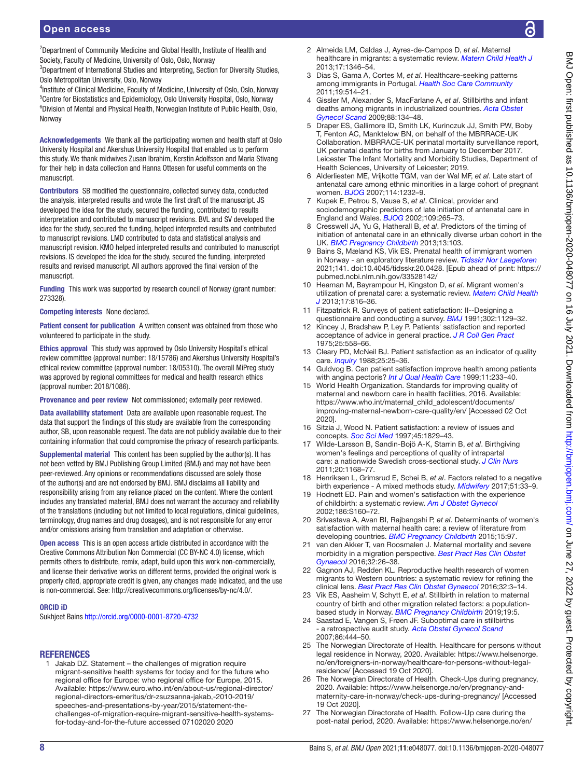<sup>2</sup>Department of Community Medicine and Global Health, Institute of Health and Society, Faculty of Medicine, University of Oslo, Oslo, Norway

<sup>3</sup>Department of International Studies and Interpreting, Section for Diversity Studies, Oslo Metropolitan University, Oslo, Norway

<sup>4</sup>Institute of Clinical Medicine, Faculty of Medicine, University of Oslo, Oslo, Norway <sup>5</sup>Centre for Biostatistics and Epidemiology, Oslo University Hospital, Oslo, Norway 6 Division of Mental and Physical Health, Norwegian Institute of Public Health, Oslo, Norway

Acknowledgements We thank all the participating women and health staff at Oslo University Hospital and Akershus University Hospital that enabled us to perform this study. We thank midwives Zusan Ibrahim, Kerstin Adolfsson and Maria Stivang for their help in data collection and Hanna Ottesen for useful comments on the manuscript.

Contributors SB modified the questionnaire, collected survey data, conducted the analysis, interpreted results and wrote the first draft of the manuscript. JS developed the idea for the study, secured the funding, contributed to results interpretation and contributed to manuscript revisions. BVL and SV developed the idea for the study, secured the funding, helped interpreted results and contributed to manuscript revisions. LMD contributed to data and statistical analysis and manuscript revision. KMO helped interpreted results and contributed to manuscript revisions. IS developed the idea for the study, secured the funding, interpreted results and revised manuscript. All authors approved the final version of the manuscript.

Funding This work was supported by research council of Norway (grant number: 273328).

Competing interests None declared.

Patient consent for publication A written consent was obtained from those who volunteered to participate in the study.

Ethics approval This study was approved by Oslo University Hospital's ethical review committee (approval number: 18/15786) and Akershus University Hospital's ethical review committee (approval number: 18/05310). The overall MiPreg study was approved by regional committees for medical and health research ethics (approval number: 2018/1086).

Provenance and peer review Not commissioned; externally peer reviewed.

Data availability statement Data are available upon reasonable request. The data that support the findings of this study are available from the corresponding author, SB, upon reasonable request. The data are not publicly available due to their containing information that could compromise the privacy of research participants.

Supplemental material This content has been supplied by the author(s). It has not been vetted by BMJ Publishing Group Limited (BMJ) and may not have been peer-reviewed. Any opinions or recommendations discussed are solely those of the author(s) and are not endorsed by BMJ. BMJ disclaims all liability and responsibility arising from any reliance placed on the content. Where the content includes any translated material, BMJ does not warrant the accuracy and reliability of the translations (including but not limited to local regulations, clinical guidelines, terminology, drug names and drug dosages), and is not responsible for any error and/or omissions arising from translation and adaptation or otherwise.

Open access This is an open access article distributed in accordance with the Creative Commons Attribution Non Commercial (CC BY-NC 4.0) license, which permits others to distribute, remix, adapt, build upon this work non-commercially, and license their derivative works on different terms, provided the original work is properly cited, appropriate credit is given, any changes made indicated, and the use is non-commercial. See: [http://creativecommons.org/licenses/by-nc/4.0/.](http://creativecommons.org/licenses/by-nc/4.0/)

#### ORCID iD

Sukhjeet Bains<http://orcid.org/0000-0001-8720-4732>

#### **REFERENCES**

<span id="page-7-0"></span>1 Jakab DZ. Statement – the challenges of migration require migrant-sensitive health systems for today and for the future who regional office for Europe: who regional office for Europe, 2015. Available: [https://www.euro.who.int/en/about-us/regional-director/](https://www.euro.who.int/en/about-us/regional-director/regional-directors-emeritus/dr-zsuzsanna-jakab,-2010-2019/speeches-and-presentations-by-year/2015/statement-the-challenges-of-migration-require-migrant-sensitive-health-systems-for-today-and-for-the-future%20accessed%2007102020%202020) [regional-directors-emeritus/dr-zsuzsanna-jakab,-2010-2019/](https://www.euro.who.int/en/about-us/regional-director/regional-directors-emeritus/dr-zsuzsanna-jakab,-2010-2019/speeches-and-presentations-by-year/2015/statement-the-challenges-of-migration-require-migrant-sensitive-health-systems-for-today-and-for-the-future%20accessed%2007102020%202020) [speeches-and-presentations-by-year/2015/statement-the](https://www.euro.who.int/en/about-us/regional-director/regional-directors-emeritus/dr-zsuzsanna-jakab,-2010-2019/speeches-and-presentations-by-year/2015/statement-the-challenges-of-migration-require-migrant-sensitive-health-systems-for-today-and-for-the-future%20accessed%2007102020%202020)[challenges-of-migration-require-migrant-sensitive-health-systems](https://www.euro.who.int/en/about-us/regional-director/regional-directors-emeritus/dr-zsuzsanna-jakab,-2010-2019/speeches-and-presentations-by-year/2015/statement-the-challenges-of-migration-require-migrant-sensitive-health-systems-for-today-and-for-the-future%20accessed%2007102020%202020)[for-today-and-for-the-future accessed 07102020 2020](https://www.euro.who.int/en/about-us/regional-director/regional-directors-emeritus/dr-zsuzsanna-jakab,-2010-2019/speeches-and-presentations-by-year/2015/statement-the-challenges-of-migration-require-migrant-sensitive-health-systems-for-today-and-for-the-future%20accessed%2007102020%202020)

- <span id="page-7-1"></span>2 Almeida LM, Caldas J, Ayres-de-Campos D, *et al*. Maternal healthcare in migrants: a systematic review. *[Matern Child Health J](http://dx.doi.org/10.1007/s10995-012-1149-x)* 2013;17:1346–54.
- 3 Dias S, Gama A, Cortes M, *et al*. Healthcare-seeking patterns among immigrants in Portugal. *[Health Soc Care Community](http://dx.doi.org/10.1111/j.1365-2524.2011.00996.x)* 2011;19:514–21.
- <span id="page-7-10"></span>4 Gissler M, Alexander S, MacFarlane A, *et al*. Stillbirths and infant deaths among migrants in industrialized countries. *[Acta Obstet](http://dx.doi.org/10.1080/00016340802603805)  [Gynecol Scand](http://dx.doi.org/10.1080/00016340802603805)* 2009;88:134–48.
- 5 Draper ES, Gallimore ID, Smith LK, Kurinczuk JJ, Smith PW, Boby T, Fenton AC, Manktelow BN, on behalf of the MBRRACE-UK Collaboration. MBRRACE-UK perinatal mortality surveillance report, UK perinatal deaths for births from January to December 2017. Leicester The Infant Mortality and Morbidity Studies, Department of Health Sciences, University of Leicester; 2019.
- <span id="page-7-2"></span>6 Alderliesten ME, Vrijkotte TGM, van der Wal MF, *et al*. Late start of antenatal care among ethnic minorities in a large cohort of pregnant women. *[BJOG](http://dx.doi.org/10.1111/j.1471-0528.2007.01438.x)* 2007;114:1232–9.
- 7 Kupek E, Petrou S, Vause S, *et al*. Clinical, provider and sociodemographic predictors of late initiation of antenatal care in England and Wales. *[BJOG](http://dx.doi.org/10.1111/j.1471-0528.2002.00524.x)* 2002;109:265–73.
- 8 Cresswell JA, Yu G, Hatherall B, *et al*. Predictors of the timing of initiation of antenatal care in an ethnically diverse urban cohort in the UK. *[BMC Pregnancy Childbirth](http://dx.doi.org/10.1186/1471-2393-13-103)* 2013;13:103.
- 9 Bains S, Mæland KS, Vik ES. Prenatal health of immigrant women in Norway - an exploratory literature review. *[Tidsskr Nor Laegeforen](http://dx.doi.org/10.4045/tidsskr.20.0428)* 2021;141. doi:10.4045/tidsskr.20.0428. [Epub ahead of print: [https://](https://pubmed.ncbi.nlm.nih.gov/33528142/) [pubmed.ncbi.nlm.nih.gov/33528142/](https://pubmed.ncbi.nlm.nih.gov/33528142/)
- <span id="page-7-7"></span>10 Heaman M, Bayrampour H, Kingston D, *et al*. Migrant women's utilization of prenatal care: a systematic review. *[Matern Child Health](http://dx.doi.org/10.1007/s10995-012-1058-z)  [J](http://dx.doi.org/10.1007/s10995-012-1058-z)* 2013;17:816–36.
- 11 Fitzpatrick R. Surveys of patient satisfaction: II--Designing a questionnaire and conducting a survey. *[BMJ](http://dx.doi.org/10.1136/bmj.302.6785.1129)* 1991;302:1129–32.
- 12 Kincey J, Bradshaw P, Ley P. Patients' satisfaction and reported acceptance of advice in general practice. *[J R Coll Gen Pract](http://www.ncbi.nlm.nih.gov/pubmed/1195230)* 1975;25:558–66.
- 13 Cleary PD, McNeil BJ. Patient satisfaction as an indicator of quality care. *[Inquiry](http://www.ncbi.nlm.nih.gov/pubmed/2966123)* 1988;25:25–36.
- 14 Guldvog B. Can patient satisfaction improve health among patients with angina pectoris? *[Int J Qual Health Care](http://dx.doi.org/10.1093/intqhc/11.3.233)* 1999;11:233–40.
- <span id="page-7-3"></span>15 World Health Organization. Standards for improving quality of maternal and newborn care in health facilities, 2016. Available: [https://www.who.int/maternal\\_child\\_adolescent/documents/](https://www.who.int/maternal_child_adolescent/documents/improving-maternal-newborn-care-quality/en/) [improving-maternal-newborn-care-quality/en/](https://www.who.int/maternal_child_adolescent/documents/improving-maternal-newborn-care-quality/en/) [Accessed 02 Oct 2020].
- <span id="page-7-4"></span>16 Sitzia J, Wood N. Patient satisfaction: a review of issues and concepts. *[Soc Sci Med](http://dx.doi.org/10.1016/S0277-9536(97)00128-7)* 1997;45:1829–43.
- <span id="page-7-5"></span>17 Wilde-Larsson B, Sandin-Bojö A-K, Starrin B, *et al*. Birthgiving women's feelings and perceptions of quality of intrapartal care: a nationwide Swedish cross-sectional study. *[J Clin Nurs](http://dx.doi.org/10.1111/j.1365-2702.2010.03393.x)* 2011;20:1168–77.
- 18 Henriksen L, Grimsrud E, Schei B, *et al*. Factors related to a negative birth experience - A mixed methods study. *[Midwifery](http://dx.doi.org/10.1016/j.midw.2017.05.004)* 2017;51:33–9.
- <span id="page-7-15"></span>19 Hodnett ED. Pain and women's satisfaction with the experience of childbirth: a systematic review. *[Am J Obstet Gynecol](http://dx.doi.org/10.1067/mob.2002.121141)* 2002;186:S160–72.
- <span id="page-7-6"></span>20 Srivastava A, Avan BI, Rajbangshi P, *et al*. Determinants of women's satisfaction with maternal health care: a review of literature from developing countries. *[BMC Pregnancy Childbirth](http://dx.doi.org/10.1186/s12884-015-0525-0)* 2015;15:97.
- <span id="page-7-8"></span>21 van den Akker T, van Roosmalen J. Maternal mortality and severe morbidity in a migration perspective. *[Best Pract Res Clin Obstet](http://dx.doi.org/10.1016/j.bpobgyn.2015.08.016)  [Gynaecol](http://dx.doi.org/10.1016/j.bpobgyn.2015.08.016)* 2016;32:26–38.
- <span id="page-7-9"></span>22 Gagnon AJ, Redden KL. Reproductive health research of women migrants to Western countries: a systematic review for refining the clinical lens. *[Best Pract Res Clin Obstet Gynaecol](http://dx.doi.org/10.1016/j.bpobgyn.2016.01.005)* 2016;32:3–14.
- <span id="page-7-14"></span>23 Vik ES, Aasheim V, Schytt E, *et al*. Stillbirth in relation to maternal country of birth and other migration related factors: a populationbased study in Norway. *[BMC Pregnancy Childbirth](http://dx.doi.org/10.1186/s12884-018-2140-3)* 2019;19:5.
- 24 Saastad E, Vangen S, Frøen JF. Suboptimal care in stillbirths - a retrospective audit study. *[Acta Obstet Gynecol Scand](http://dx.doi.org/10.1080/00016340701207724)* 2007;86:444–50.
- <span id="page-7-11"></span>25 The Norwegian Directorate of Health. Healthcare for persons without legal residence in Norway, 2020. Available: [https://www.helsenorge.](https://www.helsenorge.no/en/foreigners-in-norway/healthcare-for-persons-without-legal-residence/) [no/en/foreigners-in-norway/healthcare-for-persons-without-legal](https://www.helsenorge.no/en/foreigners-in-norway/healthcare-for-persons-without-legal-residence/)[residence/](https://www.helsenorge.no/en/foreigners-in-norway/healthcare-for-persons-without-legal-residence/) [Accessed 19 Oct 2020].
- <span id="page-7-12"></span>The Norwegian Directorate of Health. Check-Ups during pregnancy, 2020. Available: [https://www.helsenorge.no/en/pregnancy-and](https://www.helsenorge.no/en/pregnancy-and-maternity-care-in-norway/check-ups-during-pregnancy/)[maternity-care-in-norway/check-ups-during-pregnancy/](https://www.helsenorge.no/en/pregnancy-and-maternity-care-in-norway/check-ups-during-pregnancy/) [Accessed 19 Oct 2020].
- <span id="page-7-13"></span>27 The Norwegian Directorate of Health. Follow-Up care during the post-natal period, 2020. Available: [https://www.helsenorge.no/en/](https://www.helsenorge.no/en/etter-fodsel/follow-up-care-during-the-post-natal-period/)